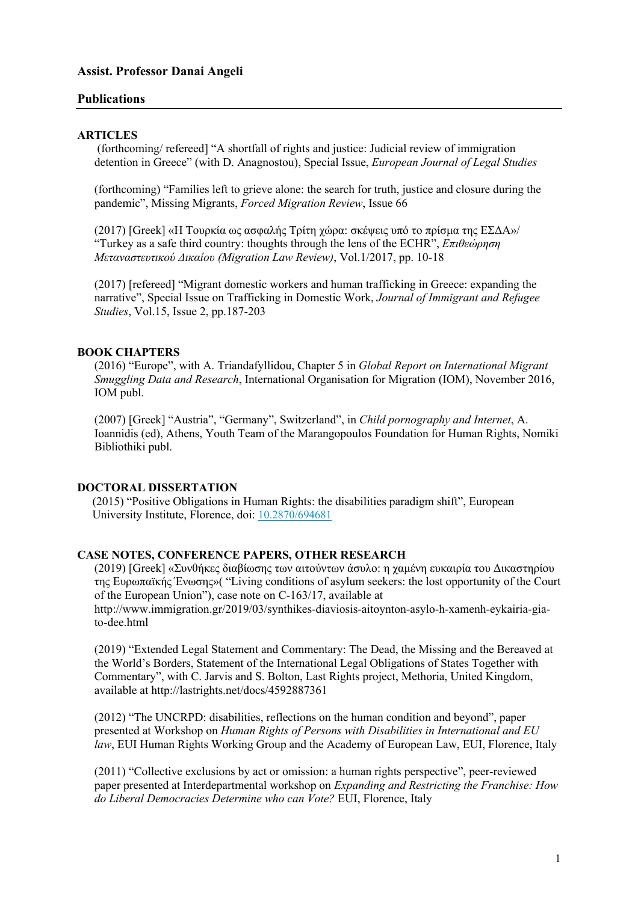# **Assist. Professor Danai Angeli**

# **Publications**

#### **ARTICLES**

(forthcoming/ refereed] "A shortfall of rights and justice: Judicial review of immigration detention in Greece" (with D. Anagnostou), Special Issue, *European Journal of Legal Studies*

(forthcoming) "Families left to grieve alone: the search for truth, justice and closure during the pandemic", Missing Migrants, *Forced Migration Review*, Issue 66

(2017) [Greek] «Η Τουρκία ως ασφαλής Τρίτη χώρα: σκέψεις υπό το πρίσμα της ΕΣΔΑ»/ "Τurkey as a safe third country: thoughts through the lens of the ECHR", *Επιθεώρηση Μεταναστευτικού Δικαίου (Migration Law Review)*, Vol.1/2017, pp. 10-18

(2017) [refereed] "Migrant domestic workers and human trafficking in Greece: expanding the narrative", Special Issue on Trafficking in Domestic Work, *Journal of Immigrant and Refugee Studies*, Vol.15, Issue 2, pp.187-203

## **BOOK CHAPTERS**

(2016) "Europe", with A. Triandafyllidou, Chapter 5 in *Global Report on International Migrant Smuggling Data and Research*, International Organisation for Migration (IOM), November 2016, IOM publ.

(2007) [Greek] "Austria", "Germany", Switzerland", in *Child pornography and Internet*, A. Ioannidis (ed), Athens, Youth Team of the Marangopoulos Foundation for Human Rights, Nomiki Bibliothiki publ.

## **DOCTORAL DISSERTATION**

(2015) "Positive Obligations in Human Rights: the disabilities paradigm shift", European University Institute, Florence, doi: 10.2870/694681

#### **CASE NOTES, CONFERENCE PAPERS, OTHER RESEARCH**

(2019) [Greek] «Συνθήκες διαβίωσης των αιτούντων άσυλο: η χαμένη ευκαιρία του Δικαστηρίου της Ευρωπαϊκής Ένωσης»( "Living conditions of asylum seekers: the lost opportunity of the Court of the European Union"), case note on C-163/17, available at http://www.immigration.gr/2019/03/synthikes-diaviosis-aitoynton-asylo-h-xamenh-eykairia-giato-dee.html

(2019) "Extended Legal Statement and Commentary: The Dead, the Missing and the Bereaved at the World's Borders, Statement of the International Legal Obligations of States Together with Commentary", with C. Jarvis and S. Bolton, Last Rights project, Methoria, United Kingdom, available at http://lastrights.net/docs/4592887361

(2012) "The UNCRPD: disabilities, reflections on the human condition and beyond", paper presented at Workshop on *Human Rights of Persons with Disabilities in International and EU law*, EUI Human Rights Working Group and the Academy of European Law, EUI, Florence, Italy

(2011) "Collective exclusions by act or omission: a human rights perspective", peer-reviewed paper presented at Interdepartmental workshop on *Expanding and Restricting the Franchise: How do Liberal Democracies Determine who can Vote?* EUI, Florence, Italy